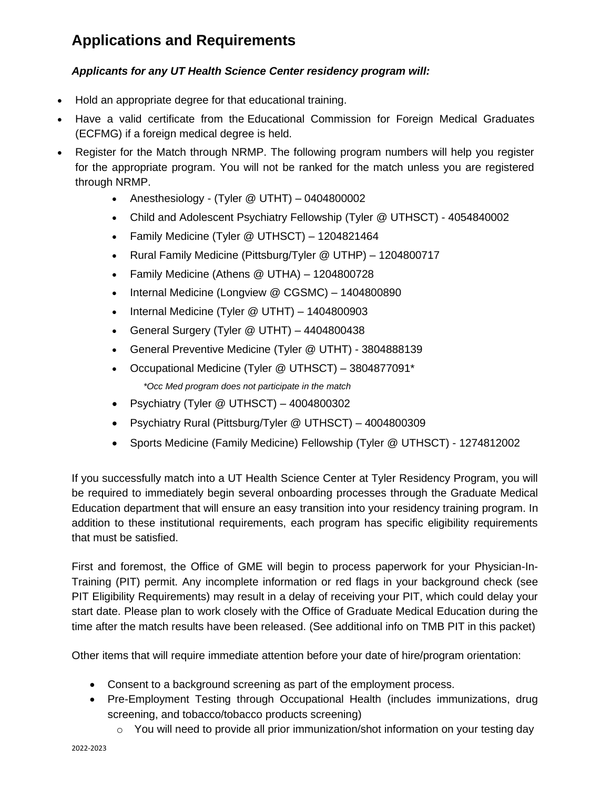## **Applications and Requirements**

## *Applicants for any UT Health Science Center residency program will:*

- Hold an appropriate degree for that educational training.
- Have a valid certificate from the Educational [Commission](http://www.ecfmg.org/) for Foreign Medical Graduates [\(ECFMG\)](http://www.ecfmg.org/) if a foreign medical degree is held.
- Register for the Match through NRMP. The following program numbers will help you register for the appropriate program. You will not be ranked for the match unless you are registered through NRMP.
	- Anesthesiology (Tyler @ UTHT) 0404800002
	- Child and Adolescent Psychiatry Fellowship (Tyler @ UTHSCT) 4054840002
	- Family Medicine (Tyler @ UTHSCT) 1204821464
	- Rural Family Medicine (Pittsburg/Tyler @ UTHP) 1204800717
	- Family Medicine (Athens @ UTHA) 1204800728
	- Internal Medicine (Longview @ CGSMC) 1404800890
	- Internal Medicine (Tyler @ UTHT) 1404800903
	- General Surgery (Tyler @ UTHT) 4404800438
	- General Preventive Medicine (Tyler @ UTHT) 3804888139
	- Occupational Medicine (Tyler @ UTHSCT) 3804877091\* *\*Occ Med program does not participate in the match*
	- Psychiatry (Tyler @ UTHSCT) 4004800302
	- Psychiatry Rural (Pittsburg/Tyler @ UTHSCT) 4004800309
	- Sports Medicine (Family Medicine) Fellowship (Tyler @ UTHSCT) 1274812002

If you successfully match into a UT Health Science Center at Tyler Residency Program, you will be required to immediately begin several onboarding processes through the Graduate Medical Education department that will ensure an easy transition into your residency training program. In addition to these institutional requirements, each program has specific eligibility requirements that must be satisfied.

First and foremost, the Office of GME will begin to process paperwork for your Physician-In-Training (PIT) permit. Any incomplete information or red flags in your background check (see PIT Eligibility Requirements) may result in a delay of receiving your PIT, which could delay your start date. Please plan to work closely with the Office of Graduate Medical Education during the time after the match results have been released. (See additional info on TMB PIT in this packet)

Other items that will require immediate attention before your date of hire/program orientation:

- Consent to a background screening as part of the employment process.
- Pre-Employment Testing through Occupational Health (includes immunizations, drug screening, and tobacco/tobacco products screening)
	- o You will need to provide all prior immunization/shot information on your testing day